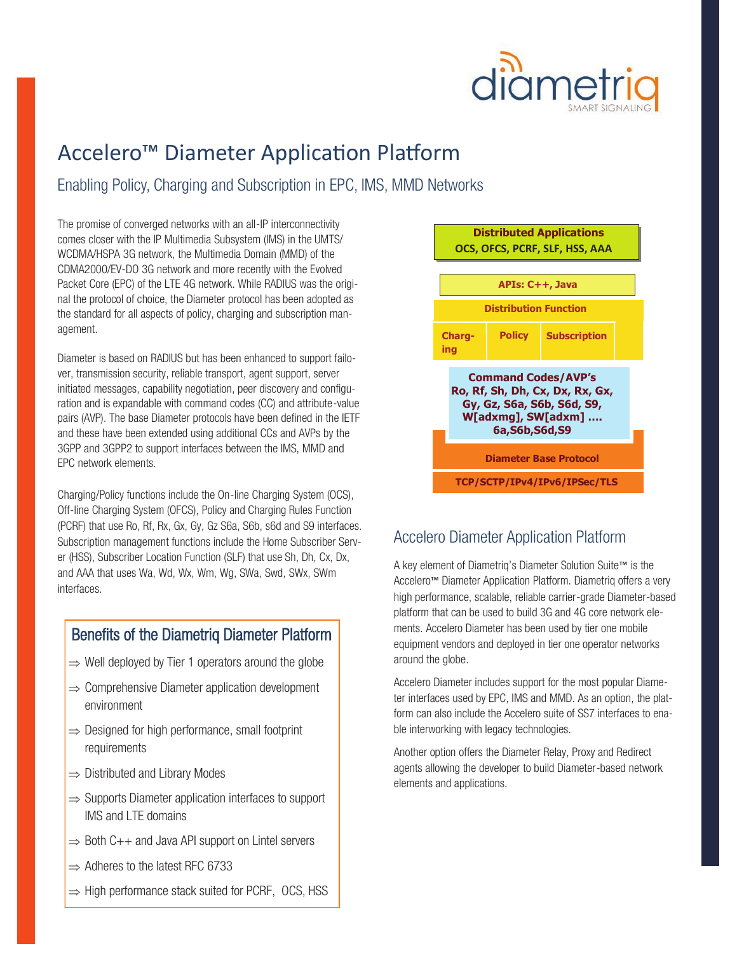

## Accelero™ Diameter Application Platform

#### Enabling Policy, Charging and Subscription in EPC, IMS, MMD Networks

The promise of converged networks with an all-IP interconnectivity comes closer with the IP Multimedia Subsystem (IMS) in the UMTS/ WCDMA/HSPA 3G network, the Multimedia Domain (MMD) of the CDMA2000/EV-DO 3G network and more recently with the Evolved Packet Core (EPC) of the LTE 4G network. While RADIUS was the original the protocol of choice, the Diameter protocol has been adopted as the standard for all aspects of policy, charging and subscription management.

Diameter is based on RADIUS but has been enhanced to support failover, transmission security, reliable transport, agent support, server initiated messages, capability negotiation, peer discovery and configuration and is expandable with command codes (CC) and attribute-value pairs (AVP). The base Diameter protocols have been defined in the IETF and these have been extended using additional CCs and AVPs by the 3GPP and 3GPP2 to support interfaces between the IMS, MMD and EPC network elements.

Charging/Policy functions include the On-line Charging System (OCS), Off-line Charging System (OFCS), Policy and Charging Rules Function (PCRF) that use Ro, Rf, Rx, Gx, Gy, Gz S6a, S6b, s6d and S9 interfaces. Subscription management functions include the Home Subscriber Server (HSS), Subscriber Location Function (SLF) that use Sh, Dh, Cx, Dx, and AAA that uses Wa, Wd, Wx, Wm, Wg, SWa, Swd, SWx, SWm interfaces.

#### Benefits of the Diametriq Diameter Platform

- $\Rightarrow$  Well deployed by Tier 1 operators around the globe
- $\Rightarrow$  Comprehensive Diameter application development environment
- $\Rightarrow$  Designed for high performance, small footprint requirements
- $\Rightarrow$  Distributed and Library Modes
- $\Rightarrow$  Supports Diameter application interfaces to support IMS and LTE domains
- $\Rightarrow$  Both C++ and Java API support on Lintel servers
- $\Rightarrow$  Adheres to the latest RFC 6733
- $\Rightarrow$  High performance stack suited for PCRF, OCS, HSS



#### Accelero Diameter Application Platform

A key element of Diametriq's Diameter Solution Suite™ is the Accelero™ Diameter Application Platform. Diametriq offers a very high performance, scalable, reliable carrier-grade Diameter-based platform that can be used to build 3G and 4G core network elements. Accelero Diameter has been used by tier one mobile equipment vendors and deployed in tier one operator networks around the globe.

Accelero Diameter includes support for the most popular Diameter interfaces used by EPC, IMS and MMD. As an option, the platform can also include the Accelero suite of SS7 interfaces to enable interworking with legacy technologies.

Another option offers the Diameter Relay, Proxy and Redirect agents allowing the developer to build Diameter-based network elements and applications.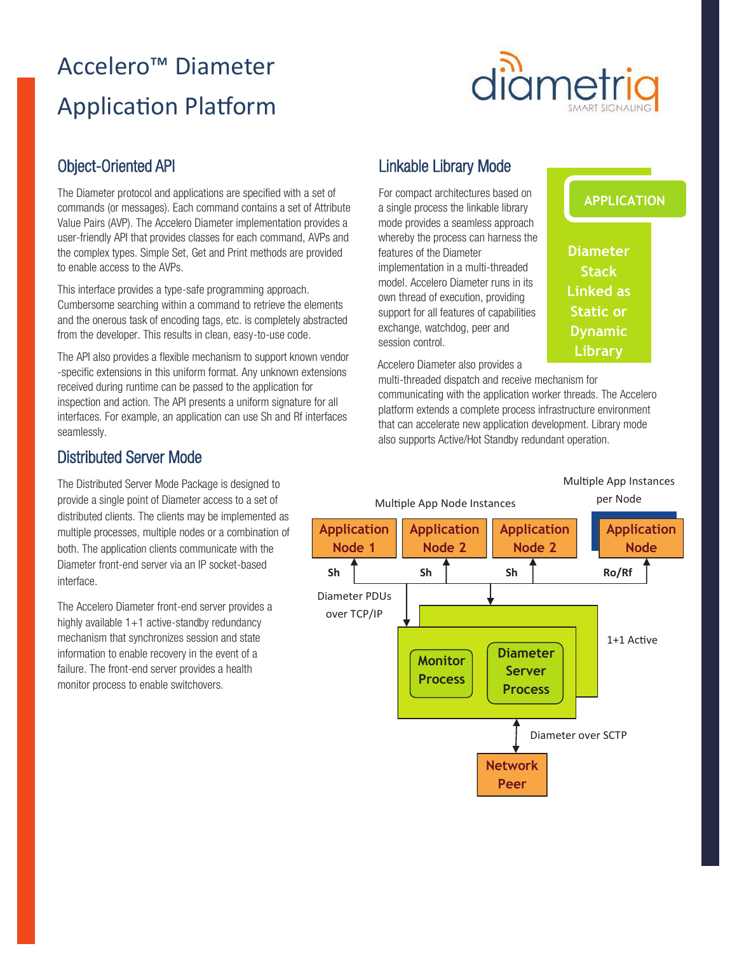# Accelero™ Diameter Application Platform



#### Object-Oriented API

The Diameter protocol and applications are specified with a set of commands (or messages). Each command contains a set of Attribute Value Pairs (AVP). The Accelero Diameter implementation provides a user-friendly API that provides classes for each command, AVPs and the complex types. Simple Set, Get and Print methods are provided to enable access to the AVPs.

This interface provides a type-safe programming approach. Cumbersome searching within a command to retrieve the elements and the onerous task of encoding tags, etc. is completely abstracted from the developer. This results in clean, easy-to-use code.

The API also provides a flexible mechanism to support known vendor -specific extensions in this uniform format. Any unknown extensions received during runtime can be passed to the application for inspection and action. The API presents a uniform signature for all interfaces. For example, an application can use Sh and Rf interfaces seamlessly.

### Linkable Library Mode

For compact architectures based on a single process the linkable library mode provides a seamless approach whereby the process can harness the features of the Diameter implementation in a multi-threaded model. Accelero Diameter runs in its own thread of execution, providing support for all features of capabilities exchange, watchdog, peer and session control.

**APPLICATION**

**Diameter Stack Linked as Static or Dynamic Library**

Accelero Diameter also provides a

multi-threaded dispatch and receive mechanism for communicating with the application worker threads. The Accelero platform extends a complete process infrastructure environment that can accelerate new application development. Library mode also supports Active/Hot Standby redundant operation.

#### Distributed Server Mode

The Distributed Server Mode Package is designed to provide a single point of Diameter access to a set of distributed clients. The clients may be implemented as multiple processes, multiple nodes or a combination of both. The application clients communicate with the Diameter front-end server via an IP socket-based interface.

The Accelero Diameter front-end server provides a highly available 1+1 active-standby redundancy mechanism that synchronizes session and state information to enable recovery in the event of a failure. The front-end server provides a health monitor process to enable switchovers.

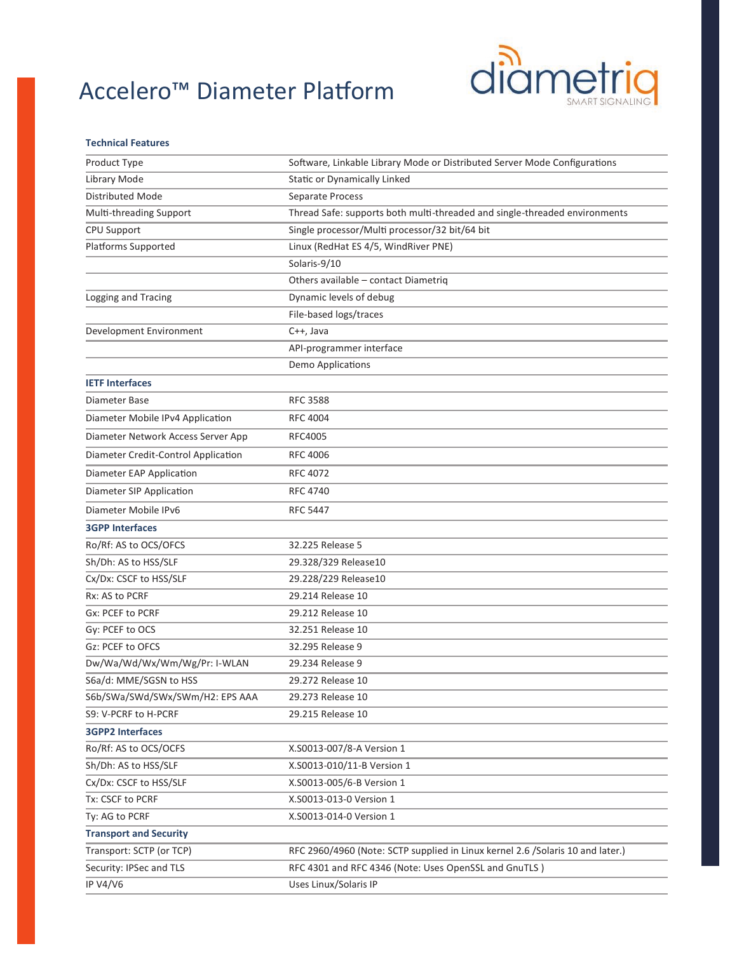## Accelero™ Diameter Platform



#### **Technical Features**

| Product Type                        | Software, Linkable Library Mode or Distributed Server Mode Configurations       |
|-------------------------------------|---------------------------------------------------------------------------------|
| Library Mode                        | Static or Dynamically Linked                                                    |
| <b>Distributed Mode</b>             | Separate Process                                                                |
| Multi-threading Support             | Thread Safe: supports both multi-threaded and single-threaded environments      |
| CPU Support                         | Single processor/Multi processor/32 bit/64 bit                                  |
| Platforms Supported                 | Linux (RedHat ES 4/5, WindRiver PNE)                                            |
|                                     | Solaris-9/10                                                                    |
|                                     | Others available - contact Diametriq                                            |
| Logging and Tracing                 | Dynamic levels of debug                                                         |
|                                     | File-based logs/traces                                                          |
| Development Environment             | C++, Java                                                                       |
|                                     | API-programmer interface                                                        |
|                                     | Demo Applications                                                               |
| <b>IETF Interfaces</b>              |                                                                                 |
| Diameter Base                       | <b>RFC 3588</b>                                                                 |
| Diameter Mobile IPv4 Application    | <b>RFC 4004</b>                                                                 |
| Diameter Network Access Server App  | RFC4005                                                                         |
| Diameter Credit-Control Application | <b>RFC 4006</b>                                                                 |
| Diameter EAP Application            | RFC 4072                                                                        |
| Diameter SIP Application            | <b>RFC 4740</b>                                                                 |
| Diameter Mobile IPv6                | <b>RFC 5447</b>                                                                 |
| <b>3GPP Interfaces</b>              |                                                                                 |
| Ro/Rf: AS to OCS/OFCS               | 32.225 Release 5                                                                |
| Sh/Dh: AS to HSS/SLF                | 29.328/329 Release10                                                            |
| Cx/Dx: CSCF to HSS/SLF              | 29.228/229 Release10                                                            |
| Rx: AS to PCRF                      | 29.214 Release 10                                                               |
| Gx: PCEF to PCRF                    | 29.212 Release 10                                                               |
| Gy: PCEF to OCS                     | 32.251 Release 10                                                               |
| Gz: PCEF to OFCS                    | 32.295 Release 9                                                                |
| Dw/Wa/Wd/Wx/Wm/Wg/Pr: I-WLAN        | 29.234 Release 9                                                                |
| S6a/d: MME/SGSN to HSS              | 29.272 Release 10                                                               |
| S6b/SWa/SWd/SWx/SWm/H2: EPS AAA     | 29.273 Release 10                                                               |
| S9: V-PCRF to H-PCRF                | 29.215 Release 10                                                               |
| <b>3GPP2 Interfaces</b>             |                                                                                 |
| Ro/Rf: AS to OCS/OCFS               | X.S0013-007/8-A Version 1                                                       |
| Sh/Dh: AS to HSS/SLF                | X.S0013-010/11-B Version 1                                                      |
| Cx/Dx: CSCF to HSS/SLF              | X.S0013-005/6-B Version 1                                                       |
| Tx: CSCF to PCRF                    | X.S0013-013-0 Version 1                                                         |
| Ty: AG to PCRF                      | X.S0013-014-0 Version 1                                                         |
| <b>Transport and Security</b>       |                                                                                 |
| Transport: SCTP (or TCP)            | RFC 2960/4960 (Note: SCTP supplied in Linux kernel 2.6 / Solaris 10 and later.) |
| Security: IPSec and TLS             | RFC 4301 and RFC 4346 (Note: Uses OpenSSL and GnuTLS)                           |
| <b>IP V4/V6</b>                     | Uses Linux/Solaris IP                                                           |